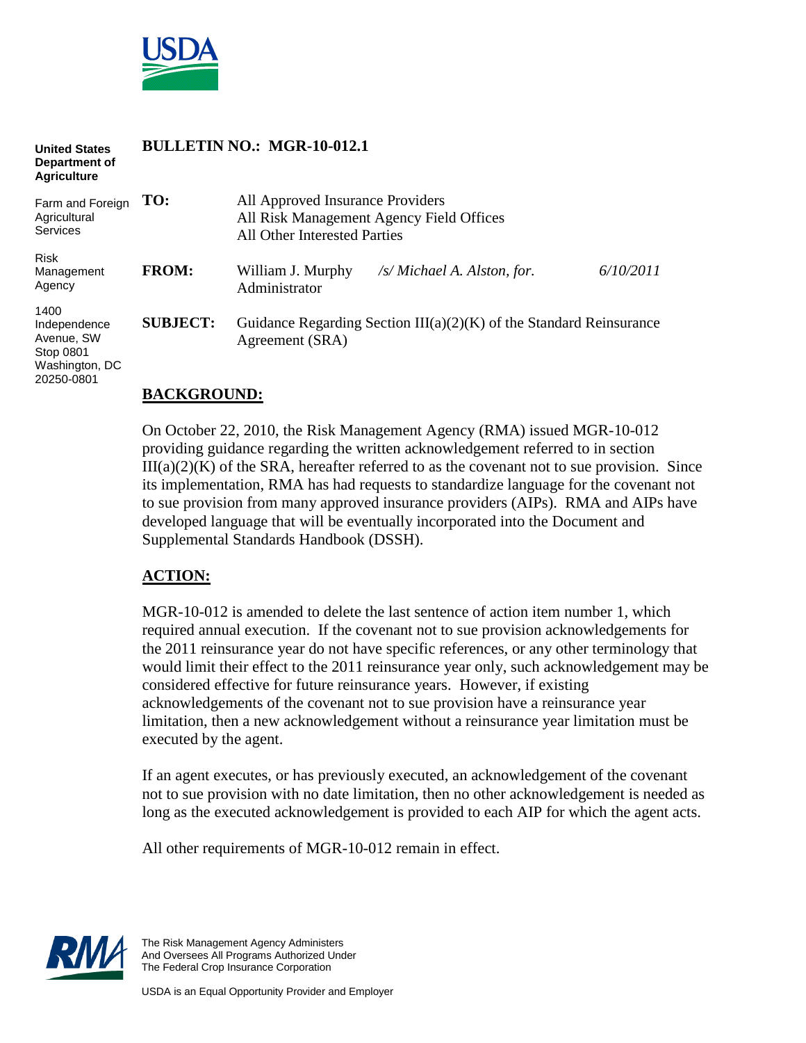

#### **BULLETIN NO.: MGR-10-012.1 United States Department of Agriculture**

| Farm and Foreign<br>Agricultural<br><b>Services</b>                             | TO:             | All Approved Insurance Providers<br>All Risk Management Agency Field Offices<br>All Other Interested Parties |                                                                                 |           |
|---------------------------------------------------------------------------------|-----------------|--------------------------------------------------------------------------------------------------------------|---------------------------------------------------------------------------------|-----------|
| <b>Risk</b><br>Management<br>Agency                                             | <b>FROM:</b>    | William J. Murphy<br>Administrator                                                                           | $\sqrt{s}$ Michael A. Alston, for.                                              | 6/10/2011 |
| 1400<br>Independence<br>Avenue, SW<br>Stop 0801<br>Washington, DC<br>20250-0801 | <b>SUBJECT:</b> | Agreement (SRA)                                                                                              | Guidance Regarding Section III( $a$ )( $2$ )( $K$ ) of the Standard Reinsurance |           |

#### **BACKGROUND:**

On October 22, 2010, the Risk Management Agency (RMA) issued MGR-10-012 providing guidance regarding the written acknowledgement referred to in section  $III(a)(2)(K)$  of the SRA, hereafter referred to as the covenant not to sue provision. Since its implementation, RMA has had requests to standardize language for the covenant not to sue provision from many approved insurance providers (AIPs). RMA and AIPs have developed language that will be eventually incorporated into the Document and Supplemental Standards Handbook (DSSH).

### **ACTION:**

MGR-10-012 is amended to delete the last sentence of action item number 1, which required annual execution. If the covenant not to sue provision acknowledgements for the 2011 reinsurance year do not have specific references, or any other terminology that would limit their effect to the 2011 reinsurance year only, such acknowledgement may be considered effective for future reinsurance years. However, if existing acknowledgements of the covenant not to sue provision have a reinsurance year limitation, then a new acknowledgement without a reinsurance year limitation must be executed by the agent.

If an agent executes, or has previously executed, an acknowledgement of the covenant not to sue provision with no date limitation, then no other acknowledgement is needed as long as the executed acknowledgement is provided to each AIP for which the agent acts.

All other requirements of MGR-10-012 remain in effect.



The Risk Management Agency Administers And Oversees All Programs Authorized Under The Federal Crop Insurance Corporation